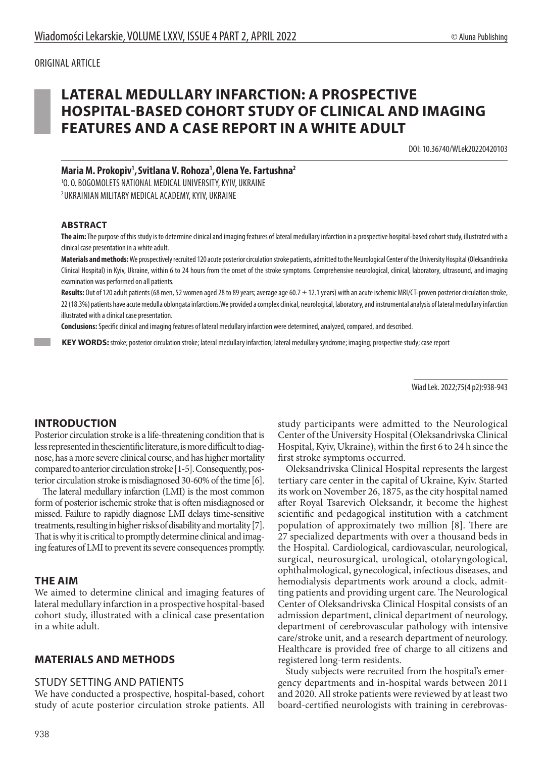# **LATERAL MEDULLARY INFARCTION: A PROSPECTIVE HOSPITAL-BASED COHORT STUDY OF CLINICAL AND IMAGING FEATURES AND A CASE REPORT IN A WHITE ADULT**

DOI: 10.36740/WLek20220420103

**Maria M. Prokopiv1 ,Svitlana V. Rohoza1 ,Olena Ye. Fartushna2**

1 O. O. BOGOMOLETS NATIONAL MEDICAL UNIVERSITY, KYIV, UKRAINE 2 UKRAINIAN MILITARY MEDICAL ACADEMY, KYIV, UKRAINE

#### **ABSTRACT**

**The aim:** The purpose of this study is to determine clinical and imaging features of lateral medullary infarction in a prospective hospital-based cohort study, illustrated with a clinical case presentation in a white adult.

**Materials and methods:**We prospectively recruited 120 acute posterior circulation stroke patients, admitted to the Neurological Center of the University Hospital (Oleksandrivska Clinical Hospital) in Kyiv, Ukraine, within 6 to 24 hours from the onset of the stroke symptoms. Comprehensive neurological, clinical, laboratory, ultrasound, and imaging examination was performed on all patients.

**Results:** Out of 120 adult patients (68 men, 52 women aged 28 to 89 years; average age 60.7 ± 12.1 years) with an acute ischemic MRI/CT-proven posterior circulation stroke, 22 (18.3%) patients have acute medulla oblongata infarctions.We provided a complex clinical, neurological, laboratory, and instrumental analysis of lateral medullary infarction illustrated with a clinical case presentation.

**Conclusions:** Specific clinical and imaging features of lateral medullary infarction were determined, analyzed, compared, and described.

 **KEY WORDS:** stroke; posterior circulation stroke; lateral medullary infarction; lateral medullary syndrome; imaging; prospective study; case report

Wiad Lek. 2022;75(4 p2):938-943

## **INTRODUCTION**

Posterior circulation stroke is a life-threatening condition that is less represented in thescientific literature, is more difficult to diagnose, has a more severe clinical course, and has higher mortality compared to anterior circulation stroke [1-5]. Consequently, posterior circulation stroke is misdiagnosed 30-60% of the time [6].

The lateral medullary infarction (LMI) is the most common form of posterior ischemic stroke that is often misdiagnosed or missed. Failure to rapidly diagnose LMI delays time-sensitive treatments, resulting in higher risks of disability and mortality [7]. That is why it is critical to promptly determine clinical and imaging features of LMI to prevent its severe consequences promptly.

#### **THE AIM**

We aimed to determine clinical and imaging features of lateral medullary infarction in a prospective hospital-based cohort study, illustrated with a clinical case presentation in a white adult.

#### **MATERIALS AND METHODS**

#### STUDY SETTING AND PATIENTS

We have conducted a prospective, hospital-based, cohort study of acute posterior circulation stroke patients. All study participants were admitted to the Neurological Center of the University Hospital (Oleksandrivska Clinical Hospital, Kyiv, Ukraine), within the first 6 to 24 h since the first stroke symptoms occurred.

Oleksandrivska Clinical Hospital represents the largest tertiary care center in the capital of Ukraine, Kyiv. Started its work on November 26, 1875, as the city hospital named after Royal Tsarevich Oleksandr, it become the highest scientific and pedagogical institution with a catchment population of approximately two million [8]. There are 27 specialized departments with over a thousand beds in the Hospital. Cardiological, cardiovascular, neurological, surgical, neurosurgical, urological, otolaryngological, ophthalmological, gynecological, infectious diseases, and hemodialysis departments work around a clock, admitting patients and providing urgent care. The Neurological Center of Oleksandrivska Clinical Hospital consists of an admission department, clinical department of neurology, department of cerebrovascular pathology with intensive care/stroke unit, and a research department of neurology. Healthcare is provided free of charge to all citizens and registered long-term residents.

Study subjects were recruited from the hospital's emergency departments and in-hospital wards between 2011 and 2020. All stroke patients were reviewed by at least two board-certified neurologists with training in cerebrovas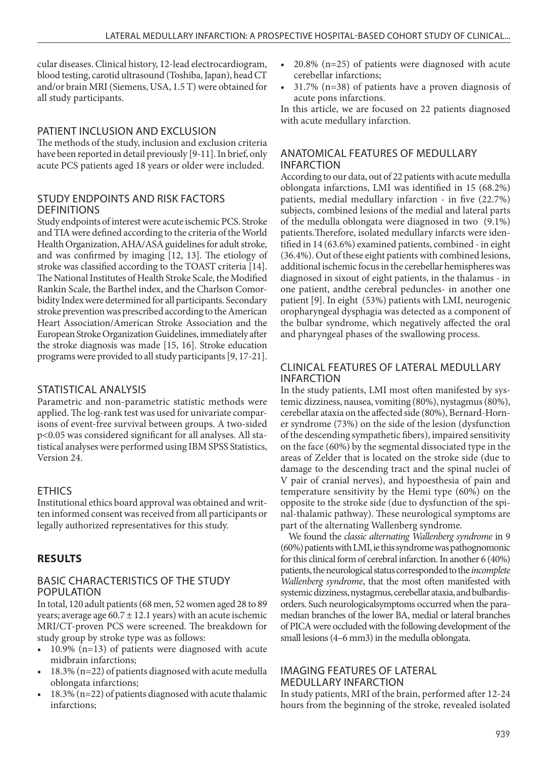cular diseases. Clinical history, 12-lead electrocardiogram, blood testing, carotid ultrasound (Toshiba, Japan), head CT and/or brain MRI (Siemens, USA, 1.5 T) were obtained for all study participants.

## PATIENT INCLUSION AND EXCLUSION

The methods of the study, inclusion and exclusion criteria have been reported in detail previously [9-11]. In brief, only acute PCS patients aged 18 years or older were included.

## STUDY ENDPOINTS AND RISK FACTORS **DEFINITIONS**

Study endpoints of interest were acute ischemic PCS. Stroke and TIA were defined according to the criteria of the World Health Organization, AHA/ASA guidelines for adult stroke, and was confirmed by imaging [12, 13]. The etiology of stroke was classified according to the TOAST criteria [14]. The National Institutes of Health Stroke Scale, the Modified Rankin Scale, the Barthel index, and the Charlson Comorbidity Index were determined for all participants. Secondary stroke prevention was prescribed according to the American Heart Association/American Stroke Association and the European Stroke Organization Guidelines, immediately after the stroke diagnosis was made [15, 16]. Stroke education programs were provided to all study participants [9, 17-21].

## STATISTICAL ANALYSIS

Parametric and non-parametric statistic methods were applied. The log-rank test was used for univariate comparisons of event-free survival between groups. A two-sided p<0.05 was considered significant for all analyses. All statistical analyses were performed using IBM SPSS Statistics, Version 24.

## ETHICS

Institutional ethics board approval was obtained and written informed consent was received from all participants or legally authorized representatives for this study.

# **RESULTS**

## BASIC CHARACTERISTICS OF THE STUDY POPULATION

In total, 120 adult patients (68 men, 52 women aged 28 to 89 years; average age  $60.7 \pm 12.1$  years) with an acute ischemic MRI/CT-proven PCS were screened. The breakdown for study group by stroke type was as follows:

- 10.9% (n=13) of patients were diagnosed with acute midbrain infarctions;
- 18.3% (n=22) of patients diagnosed with acute medulla oblongata infarctions;
- 18.3% (n=22) of patients diagnosed with acute thalamic infarctions;
- $20.8\%$  (n=25) of patients were diagnosed with acute cerebellar infarctions;
- 31.7% (n=38) of patients have a proven diagnosis of acute pons infarctions.

In this article, we are focused on 22 patients diagnosed with acute medullary infarction.

## ANATOMICAL FEATURES OF MEDULLARY INFARCTION

According to our data, out of 22 patients with acute medulla oblongata infarctions, LMI was identified in 15 (68.2%) patients, medial medullary infarction - in five (22.7%) subjects, combined lesions of the medial and lateral parts of the medulla oblongata were diagnosed in two (9.1%) patients.Therefore, isolated medullary infarcts were identified in 14 (63.6%) examined patients, combined - in eight (36.4%). Out of these eight patients with combined lesions, additional ischemic focus in the cerebellar hemispheres was diagnosed in sixout of eight patients, in the thalamus - in one patient, andthe cerebral peduncles- in another one patient [9]. In eight (53%) patients with LMI, neurogenic oropharyngeal dysphagia was detected as a component of the bulbar syndrome, which negatively affected the oral and pharyngeal phases of the swallowing process.

## CLINICAL FEATURES OF LATERAL MEDULLARY INFARCTION

In the study patients, LMI most often manifested by systemic dizziness, nausea, vomiting (80%), nystagmus (80%), cerebellar ataxia on the affected side (80%), Bernard-Horner syndrome (73%) on the side of the lesion (dysfunction of the descending sympathetic fibers), impaired sensitivity on the face (60%) by the segmental dissociated type in the areas of Zelder that is located on the stroke side (due to damage to the descending tract and the spinal nuclei of V pair of cranial nerves), and hypoesthesia of pain and temperature sensitivity by the Hemi type (60%) on the opposite to the stroke side (due to dysfunction of the spinal-thalamic pathway). These neurological symptoms are part of the alternating Wallenberg syndrome.

We found the *classic alternating Wallenberg syndrome* in 9 (60%) patients with LMI, ie this syndrome was pathognomonic for this clinical form of cerebral infarction. In another 6 (40%) patients, the neurological status corresponded to the *incomplete Wallenberg syndrome*, that the most often manifested with systemic dizziness, nystagmus, cerebellar ataxia, and bulbardisorders. Such neurologicalsymptoms occurred when the paramedian branches of the lower BA, medial or lateral branches of PICA were occluded with the following development of the small lesions (4–6 mm3) in the medulla oblongata.

## IMAGING FEATURES OF LATERAL MEDULLARY INFARCTION

In study patients, MRI of the brain, performed after 12-24 hours from the beginning of the stroke, revealed isolated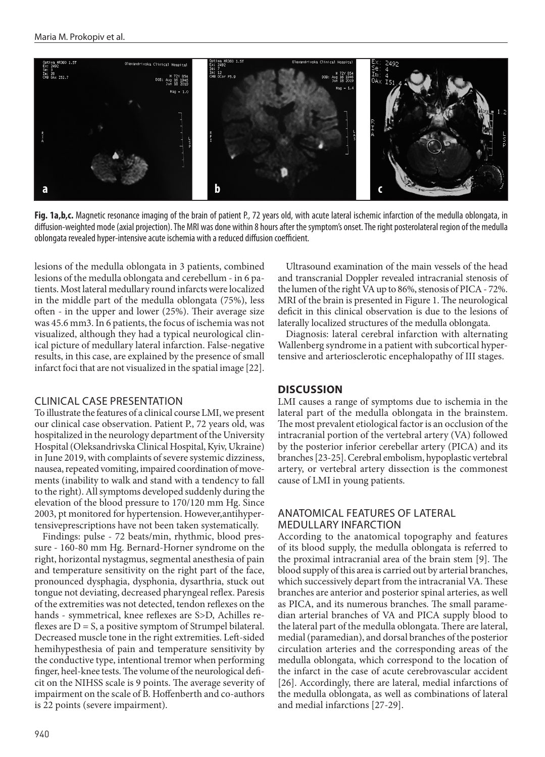

Fig. 1a,b,c. Magnetic resonance imaging of the brain of patient P., 72 years old, with acute lateral ischemic infarction of the medulla oblongata, in diffusion-weighted mode (axial projection). The MRI was done within 8 hours after the symptom's onset. The right posterolateral region of the medulla oblongata revealed hyper-intensive acute ischemia with a reduced diffusion coefficient.

lesions of the medulla oblongata in 3 patients, combined lesions of the medulla oblongata and cerebellum - in 6 patients. Most lateral medullary round infarcts were localized in the middle part of the medulla oblongata (75%), less often - in the upper and lower (25%). Their average size was 45.6 mm3. In 6 patients, the focus of ischemia was not visualized, although they had a typical neurological clinical picture of medullary lateral infarction. False-negative results, in this case, are explained by the presence of small infarct foci that are not visualized in the spatial image [22].

#### CLINICAL CASE PRESENTATION

To illustrate the features of a clinical course LMI, we present our clinical case observation. Patient P., 72 years old, was hospitalized in the neurology department of the University Hospital (Oleksandrivska Clinical Hospital, Kyiv, Ukraine) in June 2019, with complaints of severe systemic dizziness, nausea, repeated vomiting, impaired coordination of movements (inability to walk and stand with a tendency to fall to the right). All symptoms developed suddenly during the elevation of the blood pressure to 170/120 mm Hg. Since 2003, pt monitored for hypertension. However,antihypertensiveprescriptions have not been taken systematically.

Findings: pulse - 72 beats/min, rhythmic, blood pressure - 160-80 mm Hg. Bernard-Horner syndrome on the right, horizontal nystagmus, segmental anesthesia of pain and temperature sensitivity on the right part of the face, pronounced dysphagia, dysphonia, dysarthria, stuck out tongue not deviating, decreased pharyngeal reflex. Paresis of the extremities was not detected, tendon reflexes on the hands - symmetrical, knee reflexes are S>D, Achilles reflexes are  $D = S$ , a positive symptom of Strumpel bilateral. Decreased muscle tone in the right extremities. Left-sided hemihypesthesia of pain and temperature sensitivity by the conductive type, intentional tremor when performing finger, heel-knee tests. The volume of the neurological deficit on the NIHSS scale is 9 points. The average severity of impairment on the scale of B. Hoffenberth and co-authors is 22 points (severe impairment).

Ultrasound examination of the main vessels of the head and transcranial Doppler revealed intracranial stenosis of the lumen of the right VA up to 86%, stenosis of PICA - 72%. MRI of the brain is presented in Figure 1. The neurological deficit in this clinical observation is due to the lesions of laterally localized structures of the medulla oblongata.

Diagnosis: lateral cerebral infarction with alternating Wallenberg syndrome in a patient with subcortical hypertensive and arteriosclerotic encephalopathy of III stages.

#### **DISCUSSION**

LMI causes a range of symptoms due to ischemia in the lateral part of the medulla oblongata in the brainstem. The most prevalent etiological factor is an occlusion of the intracranial portion of the vertebral artery (VA) followed by the posterior inferior cerebellar artery (PICA) and its branches [23-25]. Cerebral embolism, hypoplastic vertebral artery, or vertebral artery dissection is the commonest cause of LMI in young patients.

#### ANATOMICAL FEATURES OF LATERAL MEDULLARY INFARCTION

According to the anatomical topography and features of its blood supply, the medulla oblongata is referred to the proximal intracranial area of the brain stem [9]. The blood supply of this area is carried out by arterial branches, which successively depart from the intracranial VA. These branches are anterior and posterior spinal arteries, as well as PICA, and its numerous branches. The small paramedian arterial branches of VA and PICA supply blood to the lateral part of the medulla oblongata. There are lateral, medial (paramedian), and dorsal branches of the posterior circulation arteries and the corresponding areas of the medulla oblongata, which correspond to the location of the infarct in the case of acute cerebrovascular accident [26]. Accordingly, there are lateral, medial infarctions of the medulla oblongata, as well as combinations of lateral and medial infarctions [27-29].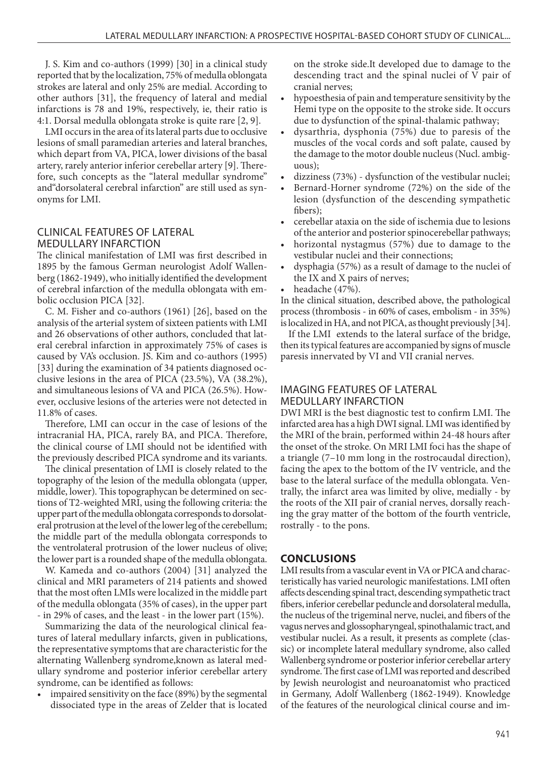J. S. Kim and co-authors (1999) [30] in a clinical study reported that by the localization, 75% of medulla oblongata strokes are lateral and only 25% are medial. According to other authors [31], the frequency of lateral and medial infarctions is 78 and 19%, respectively, ie, their ratio is 4:1. Dorsal medulla oblongata stroke is quite rare [2, 9].

LMI occurs in the area of its lateral parts due to occlusive lesions of small paramedian arteries and lateral branches, which depart from VA, PICA, lower divisions of the basal artery, rarely anterior inferior cerebellar artery [9]. Therefore, such concepts as the "lateral medullar syndrome" and"dorsolateral cerebral infarction" are still used as synonyms for LMI.

#### CLINICAL FEATURES OF LATERAL MEDULLARY INFARCTION

The clinical manifestation of LMI was first described in 1895 by the famous German neurologist Adolf Wallenberg (1862-1949), who initially identified the development of cerebral infarction of the medulla oblongata with embolic occlusion PICA [32].

C. M. Fisher and co-authors (1961) [26], based on the analysis of the arterial system of sixteen patients with LMI and 26 observations of other authors, concluded that lateral cerebral infarction in approximately 75% of cases is caused by VA's occlusion. JS. Kim and co-authors (1995) [33] during the examination of 34 patients diagnosed occlusive lesions in the area of PICA (23.5%), VA (38.2%), and simultaneous lesions of VA and PICA (26.5%). However, occlusive lesions of the arteries were not detected in 11.8% of cases.

Therefore, LMI can occur in the case of lesions of the intracranial HA, PICA, rarely BA, and PICA. Therefore, the clinical course of LMI should not be identified with the previously described PICA syndrome and its variants.

The clinical presentation of LMI is closely related to the topography of the lesion of the medulla oblongata (upper, middle, lower). This topographycan be determined on sections of T2-weighted MRI, using the following criteria: the upper part of the medulla oblongata corresponds to dorsolateral protrusion at the level of the lower leg of the cerebellum; the middle part of the medulla oblongata corresponds to the ventrolateral protrusion of the lower nucleus of olive; the lower part is a rounded shape of the medulla oblongata.

W. Kameda and co-authors (2004) [31] analyzed the clinical and MRI parameters of 214 patients and showed that the most often LMIs were localized in the middle part of the medulla oblongata (35% of cases), in the upper part - in 29% of cases, and the least - in the lower part (15%).

Summarizing the data of the neurological clinical features of lateral medullary infarcts, given in publications, the representative symptoms that are characteristic for the alternating Wallenberg syndrome,known as lateral medullary syndrome and posterior inferior cerebellar artery syndrome, can be identified as follows:

impaired sensitivity on the face (89%) by the segmental dissociated type in the areas of Zelder that is located on the stroke side.It developed due to damage to the descending tract and the spinal nuclei of V pair of cranial nerves;

- hypoesthesia of pain and temperature sensitivity by the Hemi type on the opposite to the stroke side. It occurs due to dysfunction of the spinal-thalamic pathway;
- dysarthria, dysphonia (75%) due to paresis of the muscles of the vocal cords and soft palate, caused by the damage to the motor double nucleus (Nucl. ambiguous);
- dizziness (73%) dysfunction of the vestibular nuclei;
- Bernard-Horner syndrome (72%) on the side of the lesion (dysfunction of the descending sympathetic fibers);
- cerebellar ataxia on the side of ischemia due to lesions of the anterior and posterior spinocerebellar pathways;
- horizontal nystagmus (57%) due to damage to the vestibular nuclei and their connections;
- dysphagia (57%) as a result of damage to the nuclei of the IX and X pairs of nerves;
- headache (47%).

In the clinical situation, described above, the pathological process (thrombosis - in 60% of cases, embolism - in 35%) is localized in HA, and not PICA, as thought previously [34].

If the LMI extends to the lateral surface of the bridge, then its typical features are accompanied by signs of muscle paresis innervated by VI and VII cranial nerves.

## IMAGING FEATURES OF LATERAL MEDULLARY INFARCTION

DWI MRI is the best diagnostic test to confirm LMI. The infarcted area has a high DWI signal. LMI was identified by the MRI of the brain, performed within 24-48 hours after the onset of the stroke. On MRI LMI foci has the shape of a triangle (7–10 mm long in the rostrocaudal direction), facing the apex to the bottom of the IV ventricle, and the base to the lateral surface of the medulla oblongata. Ventrally, the infarct area was limited by olive, medially - by the roots of the XII pair of cranial nerves, dorsally reaching the gray matter of the bottom of the fourth ventricle, rostrally - to the pons.

## **CONCLUSIONS**

LMI results from a vascular event in VA or PICA and characteristically has varied neurologic manifestations. LMI often affects descending spinal tract, descending sympathetic tract fibers, inferior cerebellar peduncle and dorsolateral medulla, the nucleus of the trigeminal nerve, nuclei, and fibers of the vagus nerves and glossopharyngeal, spinothalamic tract, and vestibular nuclei. As a result, it presents as complete (classic) or incomplete lateral medullary syndrome, also called Wallenberg syndrome or posterior inferior cerebellar artery syndrome. The first case of LMI was reported and described by Jewish neurologist and neuroanatomist who practiced in Germany, Adolf Wallenberg (1862-1949). Knowledge of the features of the neurological clinical course and im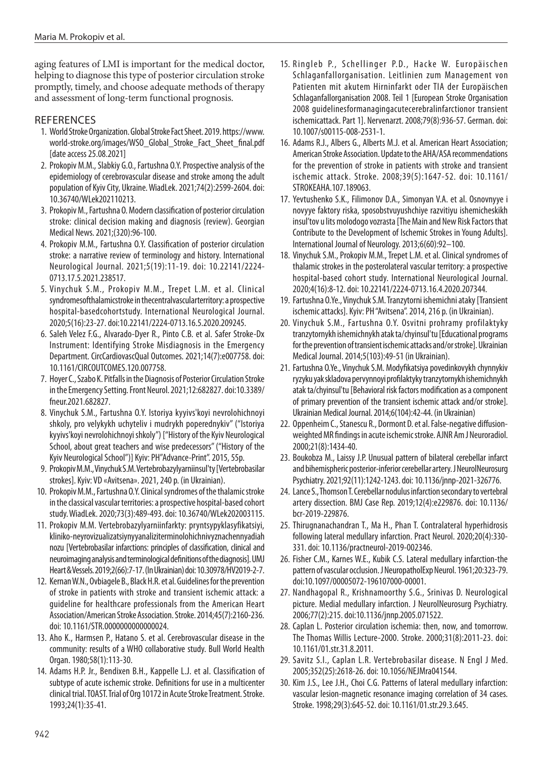aging features of LMI is important for the medical doctor, helping to diagnose this type of posterior circulation stroke promptly, timely, and choose adequate methods of therapy and assessment of long-term functional prognosis.

## **REFERENCES**

- 1. World Stroke Organization. Global Stroke Fact Sheet. 2019. https://www. world-stroke.org/images/WSO\_Global\_Stroke\_Fact\_Sheet\_final.pdf [date access 25.08.2021]
- 2. Prokopiv M.M., Slabkiy G.O., Fartushna O.Y. Prospective analysis of the epidemiology of cerebrovascular disease and stroke among the adult population of Kyiv City, Ukraine. WiadLek. 2021;74(2):2599-2604. doi: 10.36740/WLek202110213.
- 3. Prokopiv M., Fartushna O. Modern classification of posterior circulation stroke: clinical decision making and diagnosis (review). Georgian Medical News. 2021;(320):96-100.
- 4. Prokopiv M.M., Fartushna O.Y. Classification of posterior circulation stroke: a narrative review of terminology and history. International Neurological Journal. 2021;5(19):11-19. doi: 10.22141/2224- 0713.17.5.2021.238517.
- 5. Vinychuk S.M., Prokopiv M.M., Trepet L.M. et al. Clinical syndromesofthalamicstroke in thecentralvascularterritory: a prospective hospital-basedcohortstudy. International Neurological Journal. 2020;5(16):23-27. doi:10.22141/2224-0713.16.5.2020.209245.
- 6. Saleh Velez F.G., Alvarado-Dyer R., Pinto C.B. et al. Safer Stroke-Dx Instrument: Identifying Stroke Misdiagnosis in the Emergency Department. CircCardiovascQual Outcomes. 2021;14(7):e007758. doi: 10.1161/CIRCOUTCOMES.120.007758.
- 7. Hoyer C., Szabo K. Pitfalls in the Diagnosis of Posterior Circulation Stroke in the Emergency Setting. Front Neurol. 2021;12:682827. doi:10.3389/ fneur.2021.682827.
- 8. Vinychuk S.M., Fartushna O.Y. Istoriya kyyivs'koyi nevrolohichnoyi shkoly, pro velykykh uchyteliv i mudrykh poperednykiv" ("Istoriya kyyivs'koyi nevrolohichnoyi shkoly") ["History of the Kyiv Neurological School, about great teachers and wise predecessors" ("History of the Kyiv Neurological School")] Kyiv: PH"Advance-Print". 2015, 55p.
- 9. Prokopiv M.M., Vinychuk S.M. Vertebrobazylyarniinsul'ty [Vertebrobasilar strokes]. Kyiv: VD «Avitsena». 2021, 240 p. (in Ukrainian).
- 10. Prokopiv M.M., Fartushna O.Y. Clinical syndromes of the thalamic stroke in the classical vascular territories: a prospective hospital-based cohort study. WiadLek. 2020;73(3):489-493. doi: 10.36740/WLek202003115.
- 11. Prokopiv M.M. Vertebrobazylyarniinfarkty: pryntsypyklasyfikatsiyi, kliniko-neyrovizualizatsiynyyanaliziterminolohichnivyznachennyadiah nozu [Vertebrobasilar infarctions: principles of classification, clinical and neuroimaging analysis and terminological definitions of the diagnosis]. UMJ Heart & Vessels. 2019;2(66):7-17. (In Ukrainian) doi: 10.30978/HV2019-2-7.
- 12. Kernan W.N., Ovbiagele B., Black H.R. et al. Guidelines for the prevention of stroke in patients with stroke and transient ischemic attack: a guideline for healthcare professionals from the American Heart Association/American Stroke Association. Stroke. 2014;45(7):2160-236. doi: 10.1161/STR.0000000000000024.
- 13. Aho K., Harmsen P., Hatano S. et al. Cerebrovascular disease in the community: results of a WHO collaborative study. Bull World Health Organ. 1980;58(1):113-30.
- 14. Adams H.P. Jr., Bendixen B.H., Kappelle L.J. et al. Classification of subtype of acute ischemic stroke. Definitions for use in a multicenter clinical trial. TOAST. Trial of Org 10172 in Acute Stroke Treatment. Stroke. 1993;24(1):35-41.
- 15. Ringleb P., Schellinger P.D., Hacke W. Europäischen Schlaganfallorganisation. Leitlinien zum Management von Patienten mit akutem Hirninfarkt oder TIA der Europäischen Schlaganfallorganisation 2008. Teil 1 [European Stroke Organisation 2008 guidelinesformanagingacutecerebralinfarctionor transient ischemicattack. Part 1]. Nervenarzt. 2008;79(8):936-57. German. doi: 10.1007/s00115-008-2531-1.
- 16. Adams R.J., Albers G., Alberts M.J. et al. American Heart Association; American Stroke Association. Update to the AHA/ASA recommendations for the prevention of stroke in patients with stroke and transient ischemic attack. Stroke. 2008;39(5):1647-52. doi: 10.1161/ STROKEAHA.107.189063.
- 17. Yevtushenko S.K., Filimonov D.A., Simonyan V.A. et al. Osnovnyye i novyye faktory riska, sposobstvuyushchiye razvitiyu ishemicheskikh insul'tov u lits molodogo vozrasta [The Main and New Risk Factors that Contribute to the Development of Ischemic Strokes in Young Adults]. International Journal of Neurology. 2013;6(60):92–100.
- 18. Vinychuk S.M., Prokopiv M.M., Trepet L.M. et al. Clinical syndromes of thalamic strokes in the posterolateral vascular territory: a prospective hospital-based cohort study. International Neurological Journal. 2020;4(16):8-12. doi: 10.22141/2224-0713.16.4.2020.207344.
- 19. Fartushna O.Ye., Vinychuk S.M. Tranzytorni ishemichni ataky [Transient ischemic attacks]. Kyiv: PH "Avitsena". 2014, 216 p. (in Ukrainian).
- 20. Vinychuk S.M., Fartushna O.Y. Osvitni prohramy profilaktyky tranzytornykh ishemichnykh atak ta/chyinsul'tu [Educational programs for the prevention of transient ischemic attacks and/or stroke]. Ukrainian Medical Journal. 2014;5(103):49-51 (in Ukrainian).
- 21. Fartushna O.Ye., Vinychuk S.M. Modyfikatsiya povedinkovykh chynnykiv ryzyku yak skladova pervynnoyi profilaktyky tranzytornykh ishemichnykh atak ta/chyinsul'tu [Behavioral risk factors modification as a component of primary prevention of the transient ischemic attack and/or stroke]. Ukrainian Medical Journal. 2014;6(104):42-44. (in Ukrainian)
- 22. Oppenheim C., Stanescu R., Dormont D. et al. False-negative diffusionweighted MR findings in acute ischemic stroke. AJNR Am J Neuroradiol. 2000;21(8):1434-40.
- 23. Boukobza M., Laissy J.P. Unusual pattern of bilateral cerebellar infarct and bihemispheric posterior-inferior cerebellar artery. J NeurolNeurosurg Psychiatry. 2021;92(11):1242-1243. doi: 10.1136/jnnp-2021-326776.
- 24. Lance S., Thomson T. Cerebellar nodulus infarction secondary to vertebral artery dissection. BMJ Case Rep. 2019;12(4):e229876. doi: 10.1136/ bcr-2019-229876.
- 25. Thirugnanachandran T., Ma H., Phan T. Contralateral hyperhidrosis following lateral medullary infarction. Pract Neurol. 2020;20(4):330- 331. doi: 10.1136/practneurol-2019-002346.
- 26. Fisher C.M., Karnes W.E., Kubik C.S. Lateral medullary infarction-the pattern of vascular occlusion. J NeuropatholExp Neurol. 1961;20:323-79. doi:10.1097/00005072-196107000-00001.
- 27. Nandhagopal R., Krishnamoorthy S.G., Srinivas D. Neurological picture. Medial medullary infarction. J NeurolNeurosurg Psychiatry. 2006;77(2):215. doi:10.1136/jnnp.2005.071522.
- 28. Caplan L. Posterior circulation ischemia: then, now, and tomorrow. The Thomas Willis Lecture-2000. Stroke. 2000;31(8):2011-23. doi: 10.1161/01.str.31.8.2011.
- 29. Savitz S.I., Caplan L.R. Vertebrobasilar disease. N Engl J Med. 2005;352(25):2618-26. doi: 10.1056/NEJMra041544.
- 30. Kim J.S., Lee J.H., Choi C.G. Patterns of lateral medullary infarction: vascular lesion-magnetic resonance imaging correlation of 34 cases. Stroke. 1998;29(3):645-52. doi: 10.1161/01.str.29.3.645.